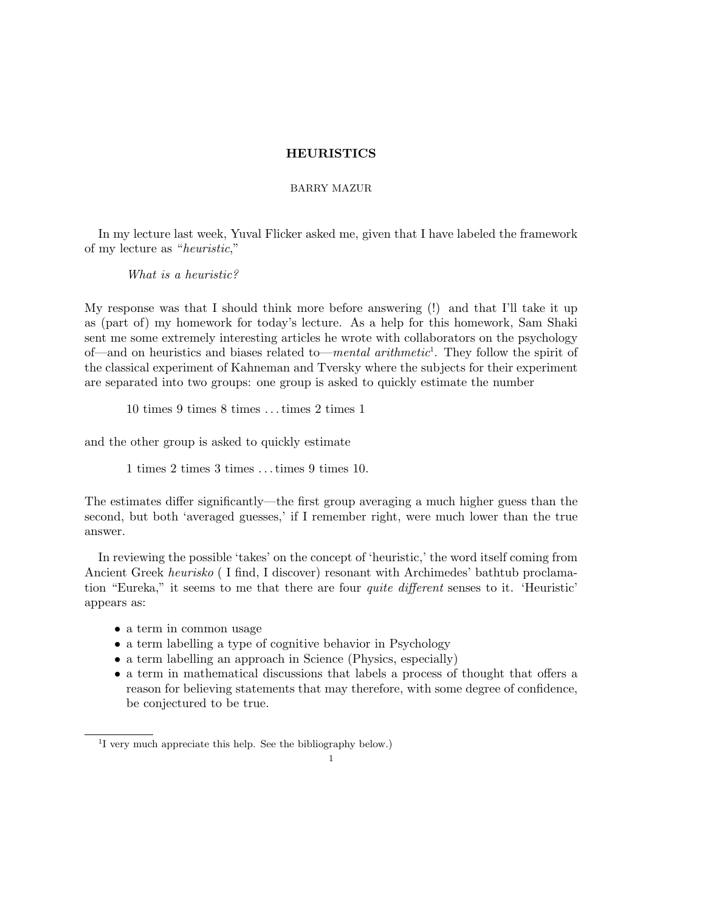# HEURISTICS

## BARRY MAZUR

In my lecture last week, Yuval Flicker asked me, given that I have labeled the framework of my lecture as "heuristic,"

What is a heuristic?

My response was that I should think more before answering (!) and that I'll take it up as (part of) my homework for today's lecture. As a help for this homework, Sam Shaki sent me some extremely interesting articles he wrote with collaborators on the psychology of—and on heuristics and biases related to—mental arithmetic<sup>1</sup>. They follow the spirit of the classical experiment of Kahneman and Tversky where the subjects for their experiment are separated into two groups: one group is asked to quickly estimate the number

10 times 9 times 8 times . . .times 2 times 1

and the other group is asked to quickly estimate

1 times 2 times 3 times . . .times 9 times 10.

The estimates differ significantly—the first group averaging a much higher guess than the second, but both 'averaged guesses,' if I remember right, were much lower than the true answer.

In reviewing the possible 'takes' on the concept of 'heuristic,' the word itself coming from Ancient Greek heurisko (I find, I discover) resonant with Archimedes' bathtub proclamation "Eureka," it seems to me that there are four *quite different* senses to it. 'Heuristic' appears as:

- a term in common usage
- a term labelling a type of cognitive behavior in Psychology
- a term labelling an approach in Science (Physics, especially)
- a term in mathematical discussions that labels a process of thought that offers a reason for believing statements that may therefore, with some degree of confidence, be conjectured to be true.

<sup>&</sup>lt;sup>1</sup>I very much appreciate this help. See the bibliography below.)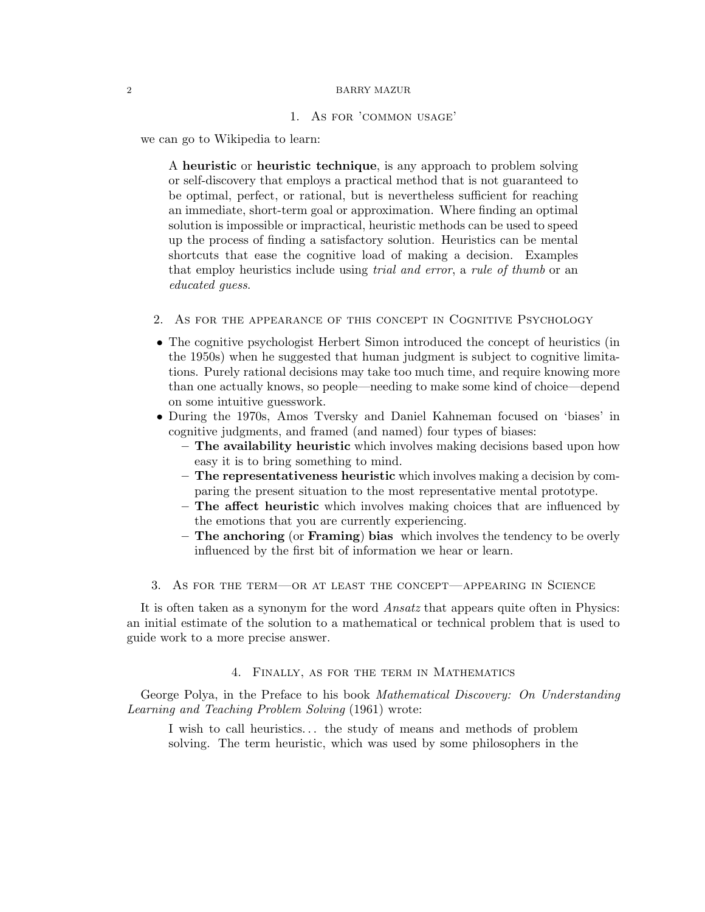#### 2 BARRY MAZUR

### 1. As for 'common usage'

we can go to Wikipedia to learn:

A heuristic or heuristic technique, is any approach to problem solving or self-discovery that employs a practical method that is not guaranteed to be optimal, perfect, or rational, but is nevertheless sufficient for reaching an immediate, short-term goal or approximation. Where finding an optimal solution is impossible or impractical, heuristic methods can be used to speed up the process of finding a satisfactory solution. Heuristics can be mental shortcuts that ease the cognitive load of making a decision. Examples that employ heuristics include using *trial and error*, a *rule of thumb* or an educated guess.

- 2. As for the appearance of this concept in Cognitive Psychology
- The cognitive psychologist Herbert Simon introduced the concept of heuristics (in the 1950s) when he suggested that human judgment is subject to cognitive limitations. Purely rational decisions may take too much time, and require knowing more than one actually knows, so people—needing to make some kind of choice—depend on some intuitive guesswork.
- During the 1970s, Amos Tversky and Daniel Kahneman focused on 'biases' in cognitive judgments, and framed (and named) four types of biases:
	- The availability heuristic which involves making decisions based upon how easy it is to bring something to mind.
	- The representativeness heuristic which involves making a decision by comparing the present situation to the most representative mental prototype.
	- The affect heuristic which involves making choices that are influenced by the emotions that you are currently experiencing.
	- The anchoring (or Framing) bias which involves the tendency to be overly influenced by the first bit of information we hear or learn.
- 3. As for the term—or at least the concept—appearing in Science

It is often taken as a synonym for the word Ansatz that appears quite often in Physics: an initial estimate of the solution to a mathematical or technical problem that is used to guide work to a more precise answer.

# 4. Finally, as for the term in Mathematics

George Polya, in the Preface to his book *Mathematical Discovery:* On Understanding Learning and Teaching Problem Solving (1961) wrote:

I wish to call heuristics. . . the study of means and methods of problem solving. The term heuristic, which was used by some philosophers in the